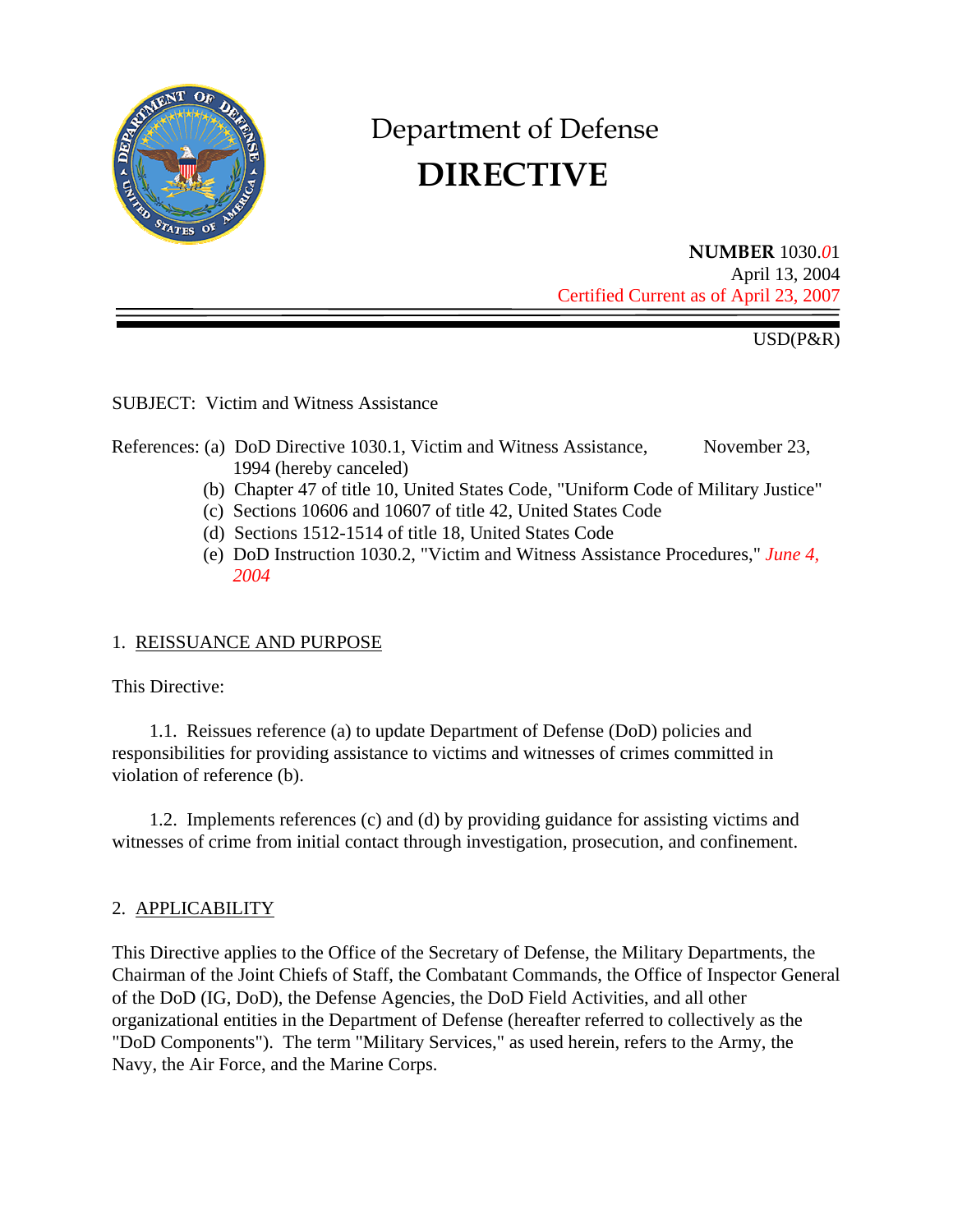

# Department of Defense  **DIRECTIVE**

**NUMBER** 1030.*0*1 April 13, 2004 Certified Current as of April 23, 2007

USD(P&R)

SUBJECT: Victim and Witness Assistance

## References: (a) DoD Directive 1030.1, Victim and Witness Assistance, November 23, 1994 (hereby canceled)

- (b) Chapter 47 of title 10, United States Code, "Uniform Code of Military Justice"
- (c) Sections 10606 and 10607 of title 42, United States Code
- (d) Sections 1512-1514 of title 18, United States Code
- (e) DoD Instruction 1030.2, "Victim and Witness Assistance Procedures," *June 4, 2004*

# 1. REISSUANCE AND PURPOSE

This Directive:

1.1. Reissues reference (a) to update Department of Defense (DoD) policies and responsibilities for providing assistance to victims and witnesses of crimes committed in violation of reference (b).

1.2. Implements references (c) and (d) by providing guidance for assisting victims and witnesses of crime from initial contact through investigation, prosecution, and confinement.

# 2. APPLICABILITY

This Directive applies to the Office of the Secretary of Defense, the Military Departments, the Chairman of the Joint Chiefs of Staff, the Combatant Commands, the Office of Inspector General of the DoD (IG, DoD), the Defense Agencies, the DoD Field Activities, and all other organizational entities in the Department of Defense (hereafter referred to collectively as the "DoD Components"). The term "Military Services," as used herein, refers to the Army, the Navy, the Air Force, and the Marine Corps.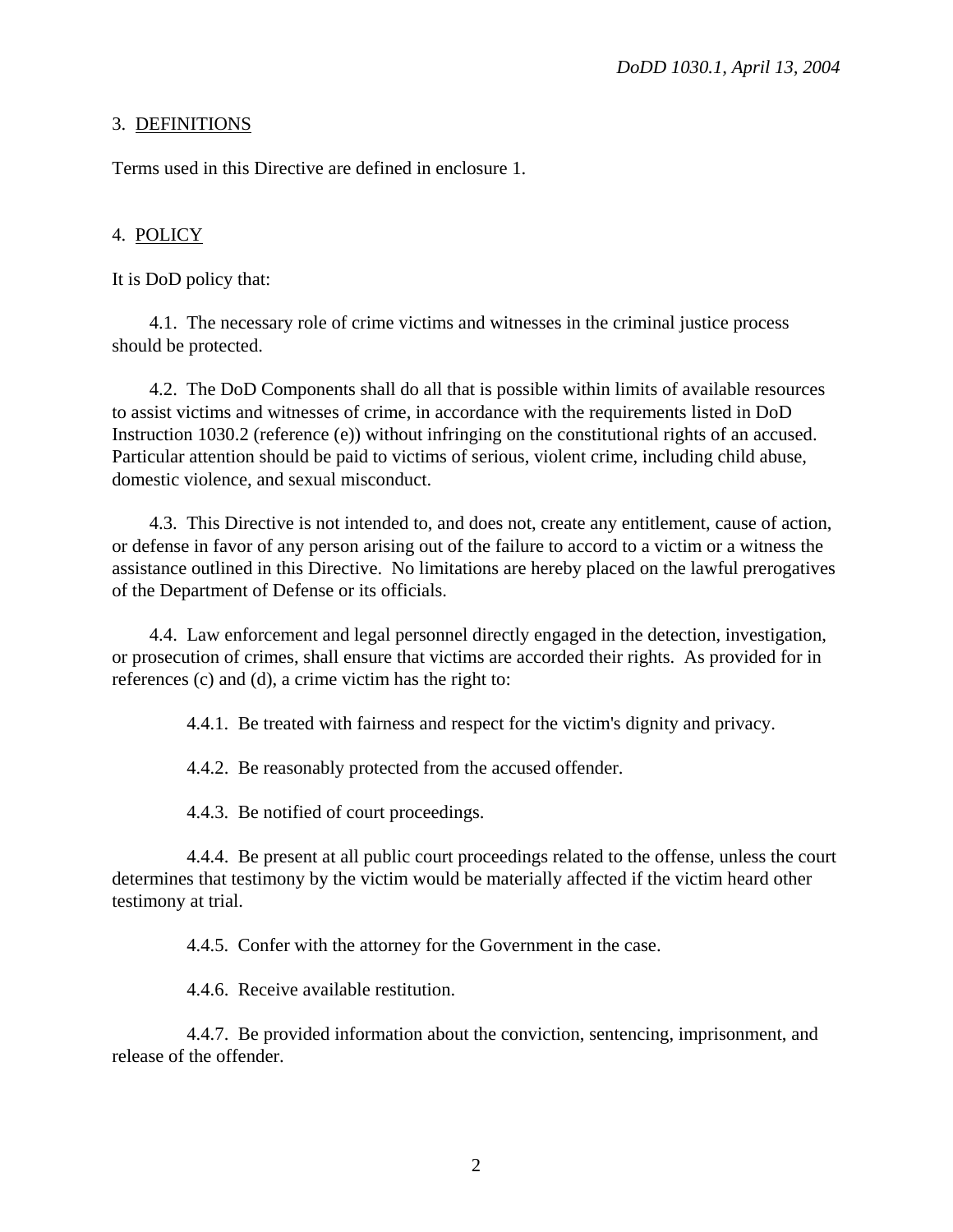# 3. DEFINITIONS

Terms used in this Directive are defined in enclosure 1.

# 4. POLICY

It is DoD policy that:

4.1. The necessary role of crime victims and witnesses in the criminal justice process should be protected.

4.2. The DoD Components shall do all that is possible within limits of available resources to assist victims and witnesses of crime, in accordance with the requirements listed in DoD Instruction 1030.2 (reference (e)) without infringing on the constitutional rights of an accused. Particular attention should be paid to victims of serious, violent crime, including child abuse, domestic violence, and sexual misconduct.

4.3. This Directive is not intended to, and does not, create any entitlement, cause of action, or defense in favor of any person arising out of the failure to accord to a victim or a witness the assistance outlined in this Directive. No limitations are hereby placed on the lawful prerogatives of the Department of Defense or its officials.

4.4. Law enforcement and legal personnel directly engaged in the detection, investigation, or prosecution of crimes, shall ensure that victims are accorded their rights. As provided for in references (c) and (d), a crime victim has the right to:

4.4.1. Be treated with fairness and respect for the victim's dignity and privacy.

4.4.2. Be reasonably protected from the accused offender.

4.4.3. Be notified of court proceedings.

4.4.4. Be present at all public court proceedings related to the offense, unless the court determines that testimony by the victim would be materially affected if the victim heard other testimony at trial.

4.4.5. Confer with the attorney for the Government in the case.

4.4.6. Receive available restitution.

4.4.7. Be provided information about the conviction, sentencing, imprisonment, and release of the offender.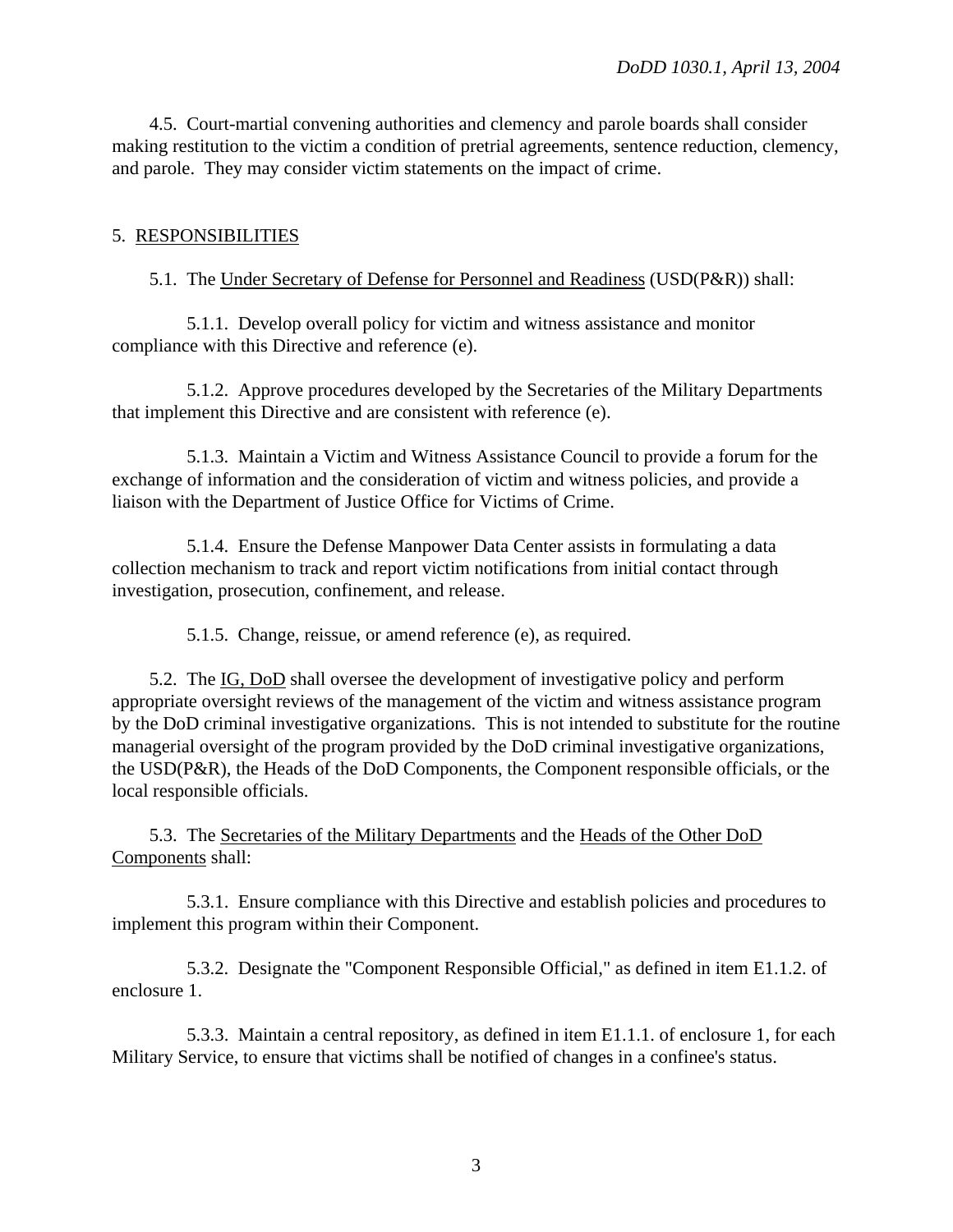4.5. Court-martial convening authorities and clemency and parole boards shall consider making restitution to the victim a condition of pretrial agreements, sentence reduction, clemency, and parole. They may consider victim statements on the impact of crime.

# 5. RESPONSIBILITIES

# 5.1. The Under Secretary of Defense for Personnel and Readiness (USD(P&R)) shall:

5.1.1. Develop overall policy for victim and witness assistance and monitor compliance with this Directive and reference (e).

5.1.2. Approve procedures developed by the Secretaries of the Military Departments that implement this Directive and are consistent with reference (e).

5.1.3. Maintain a Victim and Witness Assistance Council to provide a forum for the exchange of information and the consideration of victim and witness policies, and provide a liaison with the Department of Justice Office for Victims of Crime.

5.1.4. Ensure the Defense Manpower Data Center assists in formulating a data collection mechanism to track and report victim notifications from initial contact through investigation, prosecution, confinement, and release.

5.1.5. Change, reissue, or amend reference (e), as required.

5.2. The IG, DoD shall oversee the development of investigative policy and perform appropriate oversight reviews of the management of the victim and witness assistance program by the DoD criminal investigative organizations. This is not intended to substitute for the routine managerial oversight of the program provided by the DoD criminal investigative organizations, the USD(P&R), the Heads of the DoD Components, the Component responsible officials, or the local responsible officials.

5.3. The Secretaries of the Military Departments and the Heads of the Other DoD Components shall:

5.3.1. Ensure compliance with this Directive and establish policies and procedures to implement this program within their Component.

5.3.2. Designate the "Component Responsible Official," as defined in item E1.1.2. of enclosure 1.

5.3.3. Maintain a central repository, as defined in item E1.1.1. of enclosure 1, for each Military Service, to ensure that victims shall be notified of changes in a confinee's status.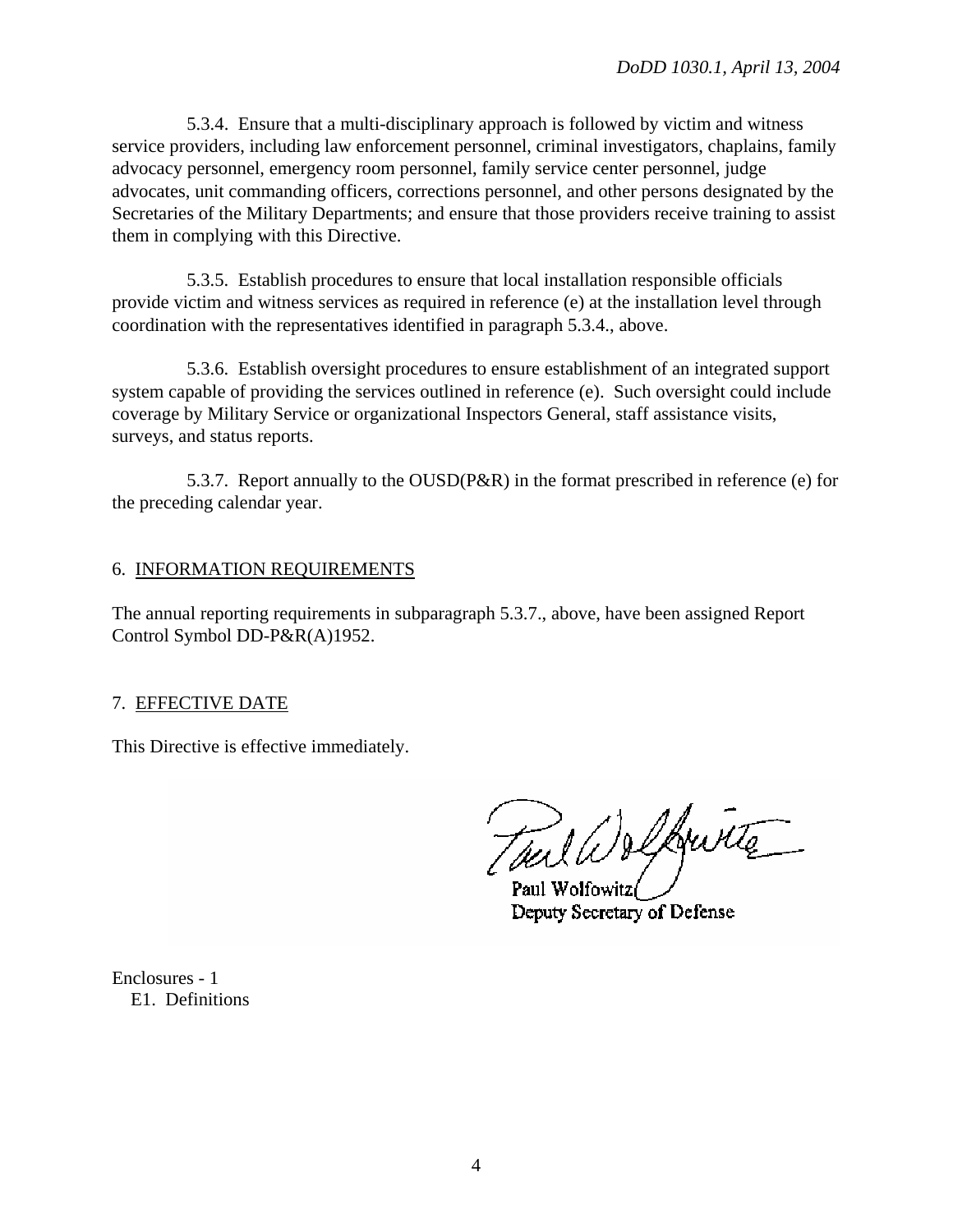5.3.4. Ensure that a multi-disciplinary approach is followed by victim and witness service providers, including law enforcement personnel, criminal investigators, chaplains, family advocacy personnel, emergency room personnel, family service center personnel, judge advocates, unit commanding officers, corrections personnel, and other persons designated by the Secretaries of the Military Departments; and ensure that those providers receive training to assist them in complying with this Directive.

5.3.5. Establish procedures to ensure that local installation responsible officials provide victim and witness services as required in reference (e) at the installation level through coordination with the representatives identified in paragraph 5.3.4., above.

5.3.6. Establish oversight procedures to ensure establishment of an integrated support system capable of providing the services outlined in reference (e). Such oversight could include coverage by Military Service or organizational Inspectors General, staff assistance visits, surveys, and status reports.

5.3.7. Report annually to the OUSD(P&R) in the format prescribed in reference (e) for the preceding calendar year.

## 6. INFORMATION REQUIREMENTS

The annual reporting requirements in subparagraph 5.3.7., above, have been assigned Report Control Symbol DD-P&R(A)1952.

# 7. EFFECTIVE DATE

This Directive is effective immediately.

Tuil Welkwitte

Paul Wolfowitz Deputy Secretary of Defense

Enclosures - 1 E1. Definitions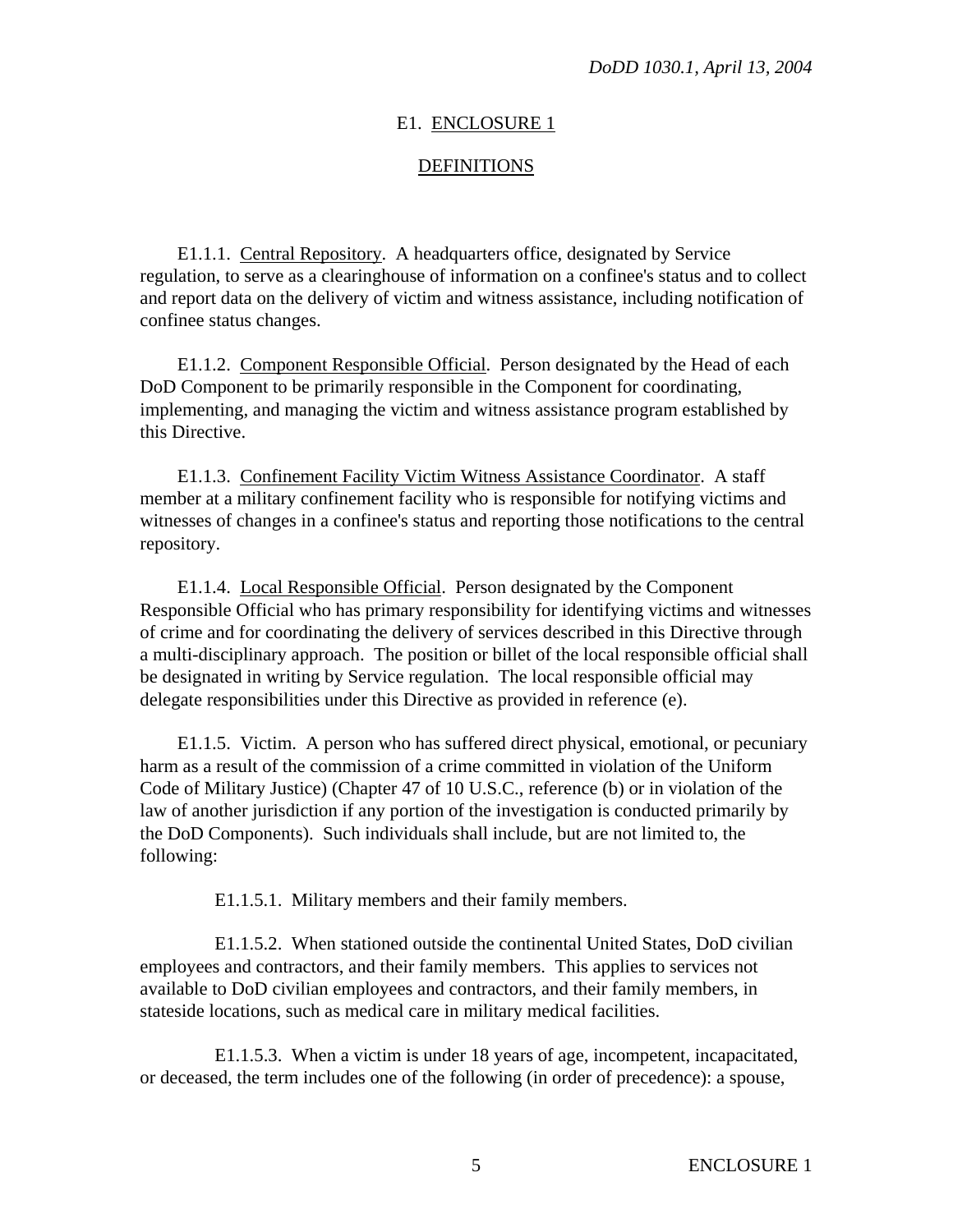#### E1. ENCLOSURE 1

#### DEFINITIONS

E1.1.1. Central Repository. A headquarters office, designated by Service regulation, to serve as a clearinghouse of information on a confinee's status and to collect and report data on the delivery of victim and witness assistance, including notification of confinee status changes.

E1.1.2. Component Responsible Official. Person designated by the Head of each DoD Component to be primarily responsible in the Component for coordinating, implementing, and managing the victim and witness assistance program established by this Directive.

E1.1.3. Confinement Facility Victim Witness Assistance Coordinator. A staff member at a military confinement facility who is responsible for notifying victims and witnesses of changes in a confinee's status and reporting those notifications to the central repository.

E1.1.4. Local Responsible Official. Person designated by the Component Responsible Official who has primary responsibility for identifying victims and witnesses of crime and for coordinating the delivery of services described in this Directive through a multi-disciplinary approach. The position or billet of the local responsible official shall be designated in writing by Service regulation. The local responsible official may delegate responsibilities under this Directive as provided in reference (e).

E1.1.5. Victim. A person who has suffered direct physical, emotional, or pecuniary harm as a result of the commission of a crime committed in violation of the Uniform Code of Military Justice) (Chapter 47 of 10 U.S.C., reference (b) or in violation of the law of another jurisdiction if any portion of the investigation is conducted primarily by the DoD Components). Such individuals shall include, but are not limited to, the following:

E1.1.5.1. Military members and their family members.

E1.1.5.2. When stationed outside the continental United States, DoD civilian employees and contractors, and their family members. This applies to services not available to DoD civilian employees and contractors, and their family members, in stateside locations, such as medical care in military medical facilities.

E1.1.5.3. When a victim is under 18 years of age, incompetent, incapacitated, or deceased, the term includes one of the following (in order of precedence): a spouse,